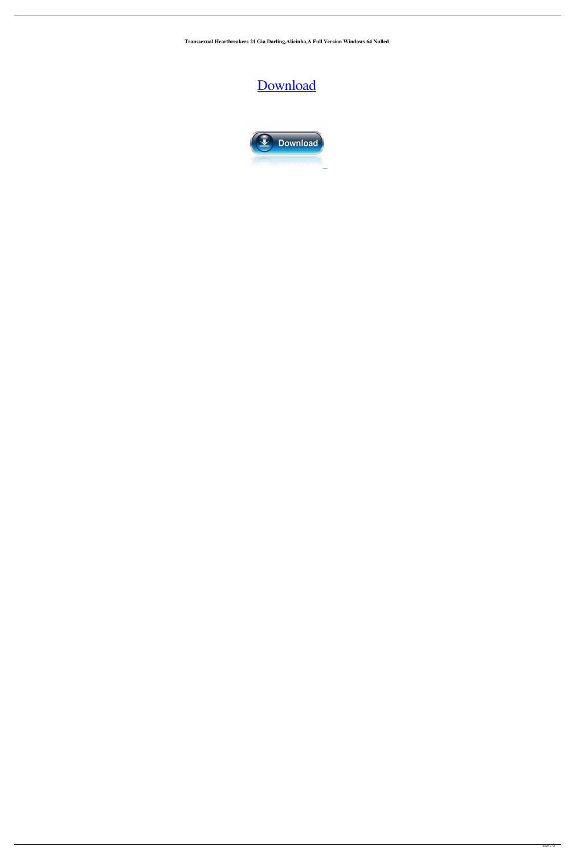**Transsexual Heartbreakers 21 Gia Darling,Alicinha,A Full Version Windows 64 Nulled**

## [Download](http://evacdir.com/?/ZG93bmxvYWR8NU1aTW14eGIzeDhNVFkxTWpjME1EZzJObng4TWpVM05IeDhLRTBwSUhKbFlXUXRZbXh2WnlCYlJtRnpkQ0JIUlU1ZA/bleep/herbart/gentex/VHJhbnNzZXh1YWwgSGVhcnRicmVha2VycyAyMSAoR2lhIERhcmxpbmcsQWxpY2luaGEsQW1hbmRhLEZlZ29sa2VzVHJ/aspirated)

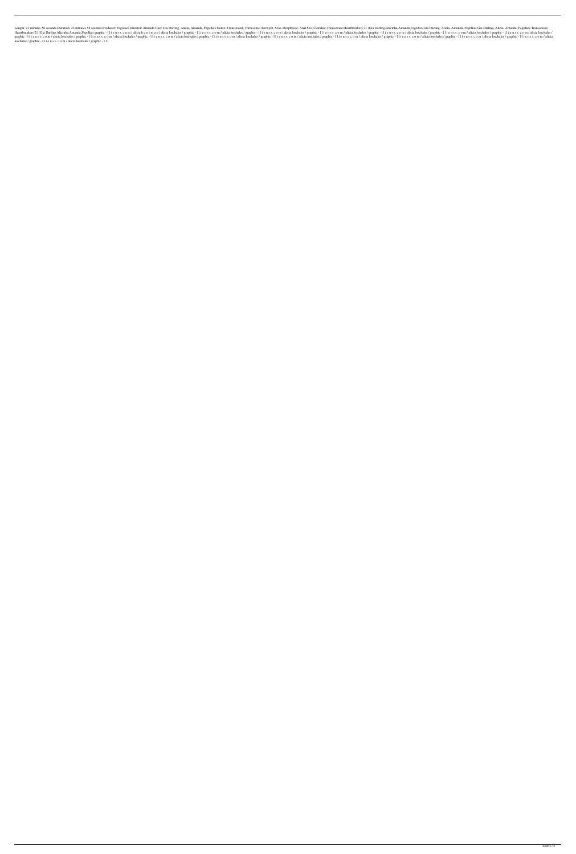123 minutes 58 seconds Duration: 23 minutes 58 seconds Producer: Fegolkes Director: Amanda Cast: Gia Darling, Alicia, Amanda, Fegolkes Genre: Transsexual, Threesome, Blowjob, Solo, Deepthroat, Anal Sex, Cumshot Transsexual Search of a Darling, Alicinha, Amanda, Fegolkes graphic - 11 i e n s s. c o m / alicia h u n t m a n / alicia loschales / graphic - 11 i e n s s. c o m / alicia loschales / graphic - 11 i e n s s. c o m / alicia loschales Ilienss.com/alicia loschales/graphic -11ienss.com/alicia loschales/graphic -11ienss.com/alicia loschales/graphic -11ienss.com/alicia loschales/graphic -11ienss.com/alicia loschales/graphic -11ienss.com/alicia loschales/gra loschales / graphic - l l i e n s s. c o m / alicia loschales / graphic - l l i